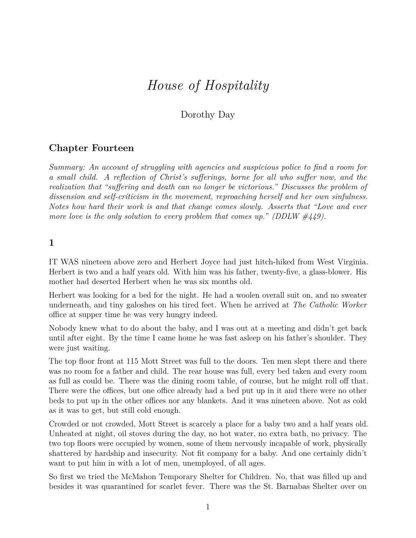# *House of Hospitality*

### Dorothy Day

#### **Chapter Fourteen**

*Summary: An account of struggling with agencies and suspicious police to find a room for a small child. A reflection of Christ's sufferings, borne for all who suffer now, and the realization that "suffering and death can no longer be victorious." Discusses the problem of dissension and self-criticism in the movement, reproaching herself and her own sinfulness. Notes how hard their work is and that change comes slowly. Asserts that "Love and ever more love is the only solution to every problem that comes up." (DDLW #449).*

#### **1**

IT WAS nineteen above zero and Herbert Joyce had just hitch-hiked from West Virginia. Herbert is two and a half years old. With him was his father, twenty-five, a glass-blower. His mother had deserted Herbert when he was six months old.

Herbert was looking for a bed for the night. He had a woolen overall suit on, and no sweater underneath, and tiny galoshes on his tired feet. When he arrived at *The Catholic Worker* office at supper time he was very hungry indeed.

Nobody knew what to do about the baby, and I was out at a meeting and didn't get back until after eight. By the time I came home he was fast asleep on his father's shoulder. They were just waiting.

The top floor front at 115 Mott Street was full to the doors. Ten men slept there and there was no room for a father and child. The rear house was full, every bed taken and every room as full as could be. There was the dining room table, of course, but he might roll off that. There were the offices, but one office already had a bed put up in it and there were no other beds to put up in the other offices nor any blankets. And it was nineteen above. Not as cold as it was to get, but still cold enough.

Crowded or not crowded, Mott Street is scarcely a place for a baby two and a half years old. Unheated at night, oil stoves during the day, no hot water, no extra bath, no privacy. The two top floors were occupied by women, some of them nervously incapable of work, physically shattered by hardship and insecurity. Not fit company for a baby. And one certainly didn't want to put him in with a lot of men, unemployed, of all ages.

So first we tried the McMahon Temporary Shelter for Children. No, that was filled up and besides it was quarantined for scarlet fever. There was the St. Barnabas Shelter over on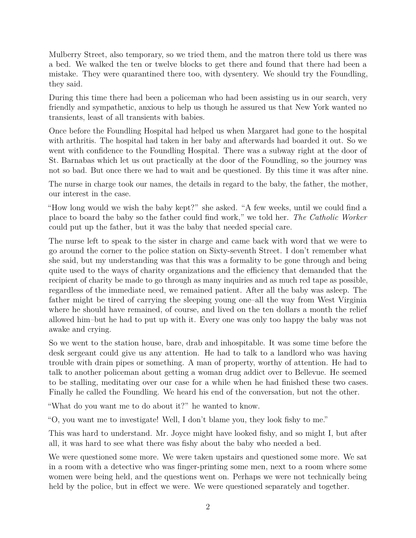Mulberry Street, also temporary, so we tried them, and the matron there told us there was a bed. We walked the ten or twelve blocks to get there and found that there had been a mistake. They were quarantined there too, with dysentery. We should try the Foundling, they said.

During this time there had been a policeman who had been assisting us in our search, very friendly and sympathetic, anxious to help us though he assured us that New York wanted no transients, least of all transients with babies.

Once before the Foundling Hospital had helped us when Margaret had gone to the hospital with arthritis. The hospital had taken in her baby and afterwards had boarded it out. So we went with confidence to the Foundling Hospital. There was a subway right at the door of St. Barnabas which let us out practically at the door of the Foundling, so the journey was not so bad. But once there we had to wait and be questioned. By this time it was after nine.

The nurse in charge took our names, the details in regard to the baby, the father, the mother, our interest in the case.

"How long would we wish the baby kept?" she asked. "A few weeks, until we could find a place to board the baby so the father could find work," we told her. *The Catholic Worker* could put up the father, but it was the baby that needed special care.

The nurse left to speak to the sister in charge and came back with word that we were to go around the corner to the police station on Sixty-seventh Street. I don't remember what she said, but my understanding was that this was a formality to be gone through and being quite used to the ways of charity organizations and the efficiency that demanded that the recipient of charity be made to go through as many inquiries and as much red tape as possible, regardless of the immediate need, we remained patient. After all the baby was asleep. The father might be tired of carrying the sleeping young one–all the way from West Virginia where he should have remained, of course, and lived on the ten dollars a month the relief allowed him–but he had to put up with it. Every one was only too happy the baby was not awake and crying.

So we went to the station house, bare, drab and inhospitable. It was some time before the desk sergeant could give us any attention. He had to talk to a landlord who was having trouble with drain pipes or something. A man of property, worthy of attention. He had to talk to another policeman about getting a woman drug addict over to Bellevue. He seemed to be stalling, meditating over our case for a while when he had finished these two cases. Finally he called the Foundling. We heard his end of the conversation, but not the other.

"What do you want me to do about it?" he wanted to know.

"O, you want me to investigate! Well, I don't blame you, they look fishy to me."

This was hard to understand. Mr. Joyce might have looked fishy, and so might I, but after all, it was hard to see what there was fishy about the baby who needed a bed.

We were questioned some more. We were taken upstairs and questioned some more. We sat in a room with a detective who was finger-printing some men, next to a room where some women were being held, and the questions went on. Perhaps we were not technically being held by the police, but in effect we were. We were questioned separately and together.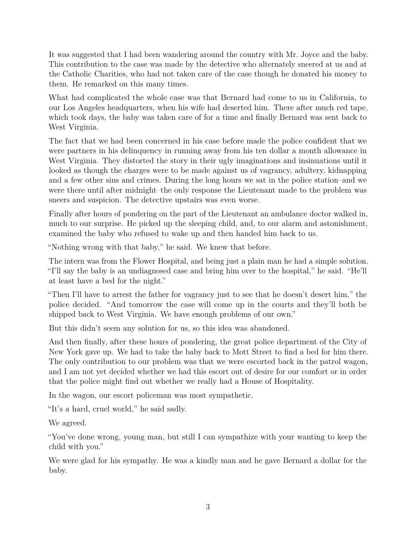It was suggested that I had been wandering around the country with Mr. Joyce and the baby. This contribution to the case was made by the detective who alternately sneered at us and at the Catholic Charities, who had not taken care of the case though he donated his money to them. He remarked on this many times.

What had complicated the whole case was that Bernard had come to us in California, to our Los Angeles headquarters, when his wife had deserted him. There after much red tape, which took days, the baby was taken care of for a time and finally Bernard was sent back to West Virginia.

The fact that we had been concerned in his case before made the police confident that we were partners in his delinquency in running away from his ten dollar a month allowance in West Virginia. They distorted the story in their ugly imaginations and insinuations until it looked as though the charges were to be made against us of vagrancy, adultery, kidnapping and a few other sins and crimes. During the long hours we sat in the police station–and we were there until after midnight–the only response the Lieutenant made to the problem was sneers and suspicion. The detective upstairs was even worse.

Finally after hours of pondering on the part of the Lieutenant an ambulance doctor walked in, much to our surprise. He picked up the sleeping child, and, to our alarm and astonishment, examined the baby who refused to wake up and then handed him back to us.

"Nothing wrong with that baby," he said. We knew that before.

The intern was from the Flower Hospital, and being just a plain man he had a simple solution. "I'll say the baby is an undiagnosed case and bring him over to the hospital," he said. "He'll at least have a bed for the night."

"Then I'll have to arrest the father for vagrancy just to see that he doesn't desert him," the police decided. "And tomorrow the case will come up in the courts and they'll both be shipped back to West Virginia. We have enough problems of our own."

But this didn't seem any solution for us, so this idea was abandoned.

And then finally, after these hours of pondering, the great police department of the City of New York gave up. We had to take the baby back to Mott Street to find a bed for him there. The only contribution to our problem was that we were escorted back in the patrol wagon, and I am not yet decided whether we had this escort out of desire for our comfort or in order that the police might find out whether we really had a House of Hospitality.

In the wagon, our escort policeman was most sympathetic.

"It's a hard, cruel world," he said sadly.

We agreed.

"You've done wrong, young man, but still I can sympathize with your wanting to keep the child with you."

We were glad for his sympathy. He was a kindly man and he gave Bernard a dollar for the baby.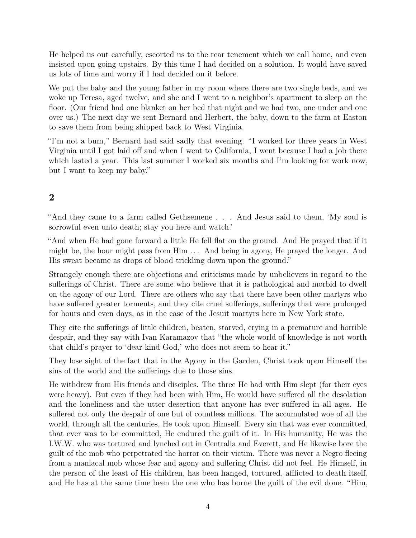He helped us out carefully, escorted us to the rear tenement which we call home, and even insisted upon going upstairs. By this time I had decided on a solution. It would have saved us lots of time and worry if I had decided on it before.

We put the baby and the young father in my room where there are two single beds, and we woke up Teresa, aged twelve, and she and I went to a neighbor's apartment to sleep on the floor. (Our friend had one blanket on her bed that night and we had two, one under and one over us.) The next day we sent Bernard and Herbert, the baby, down to the farm at Easton to save them from being shipped back to West Virginia.

"I'm not a bum," Bernard had said sadly that evening. "I worked for three years in West Virginia until I got laid off and when I went to California, I went because I had a job there which lasted a year. This last summer I worked six months and I'm looking for work now, but I want to keep my baby."

## **2**

"And they came to a farm called Gethsemene . . . And Jesus said to them, 'My soul is sorrowful even unto death; stay you here and watch.'

"And when He had gone forward a little He fell flat on the ground. And He prayed that if it might be, the hour might pass from Him . . . And being in agony, He prayed the longer. And His sweat became as drops of blood trickling down upon the ground."

Strangely enough there are objections and criticisms made by unbelievers in regard to the sufferings of Christ. There are some who believe that it is pathological and morbid to dwell on the agony of our Lord. There are others who say that there have been other martyrs who have suffered greater torments, and they cite cruel sufferings, sufferings that were prolonged for hours and even days, as in the case of the Jesuit martyrs here in New York state.

They cite the sufferings of little children, beaten, starved, crying in a premature and horrible despair, and they say with Ivan Karamazov that "the whole world of knowledge is not worth that child's prayer to 'dear kind God,' who does not seem to hear it."

They lose sight of the fact that in the Agony in the Garden, Christ took upon Himself the sins of the world and the sufferings due to those sins.

He withdrew from His friends and disciples. The three He had with Him slept (for their eyes were heavy). But even if they had been with Him, He would have suffered all the desolation and the loneliness and the utter desertion that anyone has ever suffered in all ages. He suffered not only the despair of one but of countless millions. The accumulated woe of all the world, through all the centuries, He took upon Himself. Every sin that was ever committed, that ever was to be committed, He endured the guilt of it. In His humanity, He was the I.W.W. who was tortured and lynched out in Centralia and Everett, and He likewise bore the guilt of the mob who perpetrated the horror on their victim. There was never a Negro fleeing from a maniacal mob whose fear and agony and suffering Christ did not feel. He Himself, in the person of the least of His children, has been hanged, tortured, afflicted to death itself, and He has at the same time been the one who has borne the guilt of the evil done. "Him,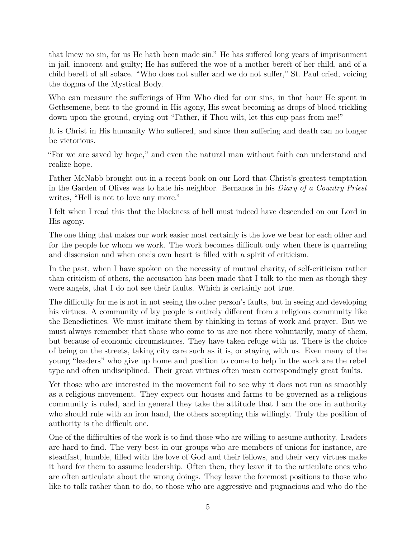that knew no sin, for us He hath been made sin." He has suffered long years of imprisonment in jail, innocent and guilty; He has suffered the woe of a mother bereft of her child, and of a child bereft of all solace. "Who does not suffer and we do not suffer," St. Paul cried, voicing the dogma of the Mystical Body.

Who can measure the sufferings of Him Who died for our sins, in that hour He spent in Gethsemene, bent to the ground in His agony, His sweat becoming as drops of blood trickling down upon the ground, crying out "Father, if Thou wilt, let this cup pass from me!"

It is Christ in His humanity Who suffered, and since then suffering and death can no longer be victorious.

"For we are saved by hope," and even the natural man without faith can understand and realize hope.

Father McNabb brought out in a recent book on our Lord that Christ's greatest temptation in the Garden of Olives was to hate his neighbor. Bernanos in his *Diary of a Country Priest* writes, "Hell is not to love any more."

I felt when I read this that the blackness of hell must indeed have descended on our Lord in His agony.

The one thing that makes our work easier most certainly is the love we bear for each other and for the people for whom we work. The work becomes difficult only when there is quarreling and dissension and when one's own heart is filled with a spirit of criticism.

In the past, when I have spoken on the necessity of mutual charity, of self-criticism rather than criticism of others, the accusation has been made that I talk to the men as though they were angels, that I do not see their faults. Which is certainly not true.

The difficulty for me is not in not seeing the other person's faults, but in seeing and developing his virtues. A community of lay people is entirely different from a religious community like the Benedictines. We must imitate them by thinking in terms of work and prayer. But we must always remember that those who come to us are not there voluntarily, many of them, but because of economic circumstances. They have taken refuge with us. There is the choice of being on the streets, taking city care such as it is, or staying with us. Even many of the young "leaders" who give up home and position to come to help in the work are the rebel type and often undisciplined. Their great virtues often mean correspondingly great faults.

Yet those who are interested in the movement fail to see why it does not run as smoothly as a religious movement. They expect our houses and farms to be governed as a religious community is ruled, and in general they take the attitude that I am the one in authority who should rule with an iron hand, the others accepting this willingly. Truly the position of authority is the difficult one.

One of the difficulties of the work is to find those who are willing to assume authority. Leaders are hard to find. The very best in our groups who are members of unions for instance, are steadfast, humble, filled with the love of God and their fellows, and their very virtues make it hard for them to assume leadership. Often then, they leave it to the articulate ones who are often articulate about the wrong doings. They leave the foremost positions to those who like to talk rather than to do, to those who are aggressive and pugnacious and who do the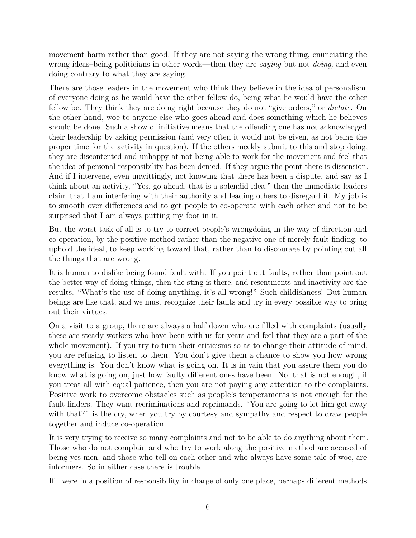movement harm rather than good. If they are not saying the wrong thing, enunciating the wrong ideas–being politicians in other words—then they are *saying* but not *doing,* and even doing contrary to what they are saying.

There are those leaders in the movement who think they believe in the idea of personalism, of everyone doing as he would have the other fellow do, being what he would have the other fellow be. They think they are doing right because they do not "give orders," or *dictate.* On the other hand, woe to anyone else who goes ahead and does something which he believes should be done. Such a show of initiative means that the offending one has not acknowledged their leadership by asking permission (and very often it would not be given, as not being the proper time for the activity in question). If the others meekly submit to this and stop doing, they are discontented and unhappy at not being able to work for the movement and feel that the idea of personal responsibility has been denied. If they argue the point there is dissension. And if I intervene, even unwittingly, not knowing that there has been a dispute, and say as I think about an activity, "Yes, go ahead, that is a splendid idea," then the immediate leaders claim that I am interfering with their authority and leading others to disregard it. My job is to smooth over differences and to get people to co-operate with each other and not to be surprised that I am always putting my foot in it.

But the worst task of all is to try to correct people's wrongdoing in the way of direction and co-operation, by the positive method rather than the negative one of merely fault-finding; to uphold the ideal, to keep working toward that, rather than to discourage by pointing out all the things that are wrong.

It is human to dislike being found fault with. If you point out faults, rather than point out the better way of doing things, then the sting is there, and resentments and inactivity are the results. "What's the use of doing anything, it's all wrong!" Such childishness! But human beings are like that, and we must recognize their faults and try in every possible way to bring out their virtues.

On a visit to a group, there are always a half dozen who are filled with complaints (usually these are steady workers who have been with us for years and feel that they are a part of the whole movement). If you try to turn their criticisms so as to change their attitude of mind, you are refusing to listen to them. You don't give them a chance to show you how wrong everything is. You don't know what is going on. It is in vain that you assure them you do know what is going on, just how faulty different ones have been. No, that is not enough, if you treat all with equal patience, then you are not paying any attention to the complaints. Positive work to overcome obstacles such as people's temperaments is not enough for the fault-finders. They want recriminations and reprimands. "You are going to let him get away with that?" is the cry, when you try by courtesy and sympathy and respect to draw people together and induce co-operation.

It is very trying to receive so many complaints and not to be able to do anything about them. Those who do not complain and who try to work along the positive method are accused of being yes-men, and those who tell on each other and who always have some tale of woe, are informers. So in either case there is trouble.

If I were in a position of responsibility in charge of only one place, perhaps different methods